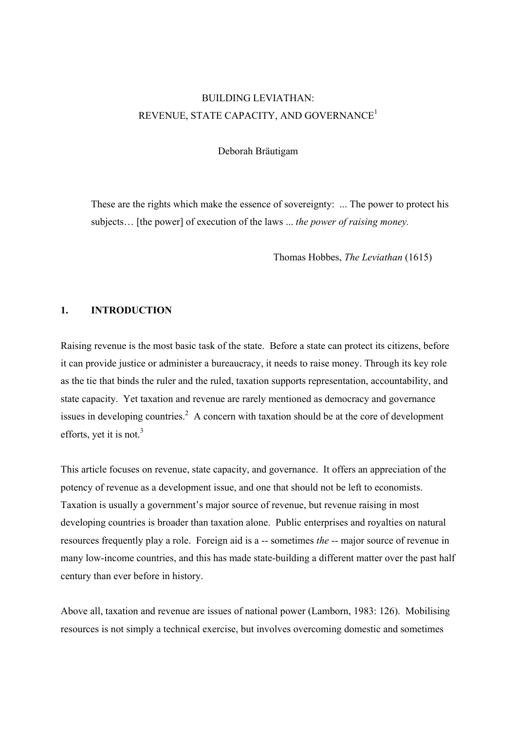# BUILDING LEVIATHAN: REVENUE, STATE CAPACITY, AND GOVERNANCE $^1$

Deborah Bräutigam

These are the rights which make the essence of sovereignty: ... The power to protect his subjects… [the power] of execution of the laws ... *the power of raising money.* 

Thomas Hobbes, *The Leviathan* (1615)

## **1. INTRODUCTION**

Raising revenue is the most basic task of the state. Before a state can protect its citizens, before it can provide justice or administer a bureaucracy, it needs to raise money. Through its key role as the tie that binds the ruler and the ruled, taxation supports representation, accountability, and state capacity. Yet taxation and revenue are rarely mentioned as democracy and governance issues in developing countries.<sup>2</sup> A concern with taxation should be at the core of development efforts, yet it is not. $3$ 

This article focuses on revenue, state capacity, and governance. It offers an appreciation of the potency of revenue as a development issue, and one that should not be left to economists. Taxation is usually a government's major source of revenue, but revenue raising in most developing countries is broader than taxation alone. Public enterprises and royalties on natural resources frequently play a role. Foreign aid is a -- sometimes *the* -- major source of revenue in many low-income countries, and this has made state-building a different matter over the past half century than ever before in history.

Above all, taxation and revenue are issues of national power (Lamborn, 1983: 126). Mobilising resources is not simply a technical exercise, but involves overcoming domestic and sometimes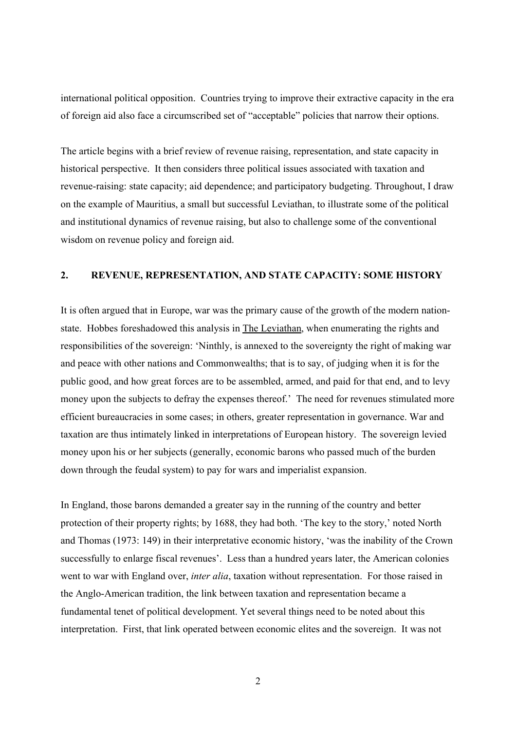international political opposition. Countries trying to improve their extractive capacity in the era of foreign aid also face a circumscribed set of "acceptable" policies that narrow their options.

The article begins with a brief review of revenue raising, representation, and state capacity in historical perspective. It then considers three political issues associated with taxation and revenue-raising: state capacity; aid dependence; and participatory budgeting. Throughout, I draw on the example of Mauritius, a small but successful Leviathan, to illustrate some of the political and institutional dynamics of revenue raising, but also to challenge some of the conventional wisdom on revenue policy and foreign aid.

### **2. REVENUE, REPRESENTATION, AND STATE CAPACITY: SOME HISTORY**

It is often argued that in Europe, war was the primary cause of the growth of the modern nationstate. Hobbes foreshadowed this analysis in The Leviathan, when enumerating the rights and responsibilities of the sovereign: 'Ninthly, is annexed to the sovereignty the right of making war and peace with other nations and Commonwealths; that is to say, of judging when it is for the public good, and how great forces are to be assembled, armed, and paid for that end, and to levy money upon the subjects to defray the expenses thereof.' The need for revenues stimulated more efficient bureaucracies in some cases; in others, greater representation in governance. War and taxation are thus intimately linked in interpretations of European history. The sovereign levied money upon his or her subjects (generally, economic barons who passed much of the burden down through the feudal system) to pay for wars and imperialist expansion.

In England, those barons demanded a greater say in the running of the country and better protection of their property rights; by 1688, they had both. 'The key to the story,' noted North and Thomas (1973: 149) in their interpretative economic history, 'was the inability of the Crown successfully to enlarge fiscal revenues'. Less than a hundred years later, the American colonies went to war with England over, *inter alia*, taxation without representation. For those raised in the Anglo-American tradition, the link between taxation and representation became a fundamental tenet of political development. Yet several things need to be noted about this interpretation. First, that link operated between economic elites and the sovereign. It was not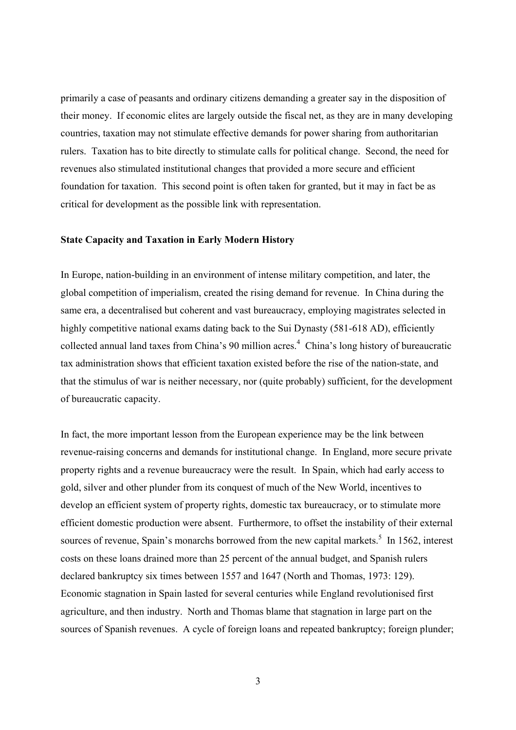primarily a case of peasants and ordinary citizens demanding a greater say in the disposition of their money. If economic elites are largely outside the fiscal net, as they are in many developing countries, taxation may not stimulate effective demands for power sharing from authoritarian rulers. Taxation has to bite directly to stimulate calls for political change. Second, the need for revenues also stimulated institutional changes that provided a more secure and efficient foundation for taxation. This second point is often taken for granted, but it may in fact be as critical for development as the possible link with representation.

### **State Capacity and Taxation in Early Modern History**

In Europe, nation-building in an environment of intense military competition, and later, the global competition of imperialism, created the rising demand for revenue. In China during the same era, a decentralised but coherent and vast bureaucracy, employing magistrates selected in highly competitive national exams dating back to the Sui Dynasty (581-618 AD), efficiently collected annual land taxes from China's 90 million acres.<sup>4</sup> China's long history of bureaucratic tax administration shows that efficient taxation existed before the rise of the nation-state, and that the stimulus of war is neither necessary, nor (quite probably) sufficient, for the development of bureaucratic capacity.

In fact, the more important lesson from the European experience may be the link between revenue-raising concerns and demands for institutional change. In England, more secure private property rights and a revenue bureaucracy were the result. In Spain, which had early access to gold, silver and other plunder from its conquest of much of the New World, incentives to develop an efficient system of property rights, domestic tax bureaucracy, or to stimulate more efficient domestic production were absent. Furthermore, to offset the instability of their external sources of revenue, Spain's monarchs borrowed from the new capital markets.<sup>5</sup> In 1562, interest costs on these loans drained more than 25 percent of the annual budget, and Spanish rulers declared bankruptcy six times between 1557 and 1647 (North and Thomas, 1973: 129). Economic stagnation in Spain lasted for several centuries while England revolutionised first agriculture, and then industry. North and Thomas blame that stagnation in large part on the sources of Spanish revenues. A cycle of foreign loans and repeated bankruptcy; foreign plunder;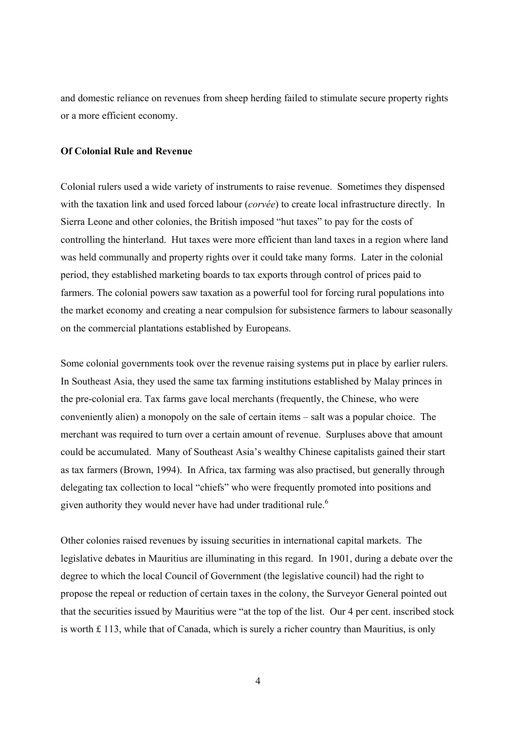and domestic reliance on revenues from sheep herding failed to stimulate secure property rights or a more efficient economy.

### **Of Colonial Rule and Revenue**

Colonial rulers used a wide variety of instruments to raise revenue. Sometimes they dispensed with the taxation link and used forced labour (*corvée*) to create local infrastructure directly. In Sierra Leone and other colonies, the British imposed "hut taxes" to pay for the costs of controlling the hinterland. Hut taxes were more efficient than land taxes in a region where land was held communally and property rights over it could take many forms. Later in the colonial period, they established marketing boards to tax exports through control of prices paid to farmers. The colonial powers saw taxation as a powerful tool for forcing rural populations into the market economy and creating a near compulsion for subsistence farmers to labour seasonally on the commercial plantations established by Europeans.

Some colonial governments took over the revenue raising systems put in place by earlier rulers. In Southeast Asia, they used the same tax farming institutions established by Malay princes in the pre-colonial era. Tax farms gave local merchants (frequently, the Chinese, who were conveniently alien) a monopoly on the sale of certain items – salt was a popular choice. The merchant was required to turn over a certain amount of revenue. Surpluses above that amount could be accumulated. Many of Southeast Asia's wealthy Chinese capitalists gained their start as tax farmers (Brown, 1994). In Africa, tax farming was also practised, but generally through delegating tax collection to local "chiefs" who were frequently promoted into positions and given authority they would never have had under traditional rule.<sup>6</sup>

Other colonies raised revenues by issuing securities in international capital markets. The legislative debates in Mauritius are illuminating in this regard. In 1901, during a debate over the degree to which the local Council of Government (the legislative council) had the right to propose the repeal or reduction of certain taxes in the colony, the Surveyor General pointed out that the securities issued by Mauritius were "at the top of the list. Our 4 per cent. inscribed stock is worth £ 113, while that of Canada, which is surely a richer country than Mauritius, is only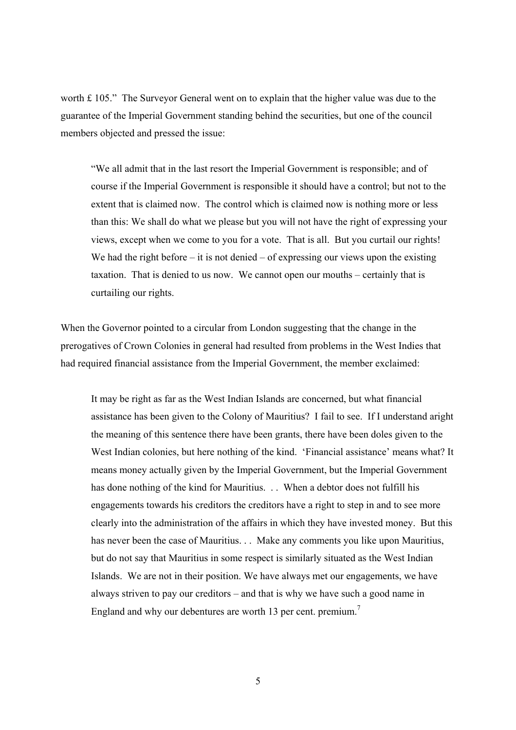worth £ 105." The Surveyor General went on to explain that the higher value was due to the guarantee of the Imperial Government standing behind the securities, but one of the council members objected and pressed the issue:

"We all admit that in the last resort the Imperial Government is responsible; and of course if the Imperial Government is responsible it should have a control; but not to the extent that is claimed now. The control which is claimed now is nothing more or less than this: We shall do what we please but you will not have the right of expressing your views, except when we come to you for a vote. That is all. But you curtail our rights! We had the right before  $-$  it is not denied  $-$  of expressing our views upon the existing taxation. That is denied to us now. We cannot open our mouths – certainly that is curtailing our rights.

When the Governor pointed to a circular from London suggesting that the change in the prerogatives of Crown Colonies in general had resulted from problems in the West Indies that had required financial assistance from the Imperial Government, the member exclaimed:

It may be right as far as the West Indian Islands are concerned, but what financial assistance has been given to the Colony of Mauritius? I fail to see. If I understand aright the meaning of this sentence there have been grants, there have been doles given to the West Indian colonies, but here nothing of the kind. 'Financial assistance' means what? It means money actually given by the Imperial Government, but the Imperial Government has done nothing of the kind for Mauritius. . . When a debtor does not fulfill his engagements towards his creditors the creditors have a right to step in and to see more clearly into the administration of the affairs in which they have invested money. But this has never been the case of Mauritius. . . Make any comments you like upon Mauritius, but do not say that Mauritius in some respect is similarly situated as the West Indian Islands. We are not in their position. We have always met our engagements, we have always striven to pay our creditors – and that is why we have such a good name in England and why our debentures are worth 13 per cent. premium.<sup>7</sup>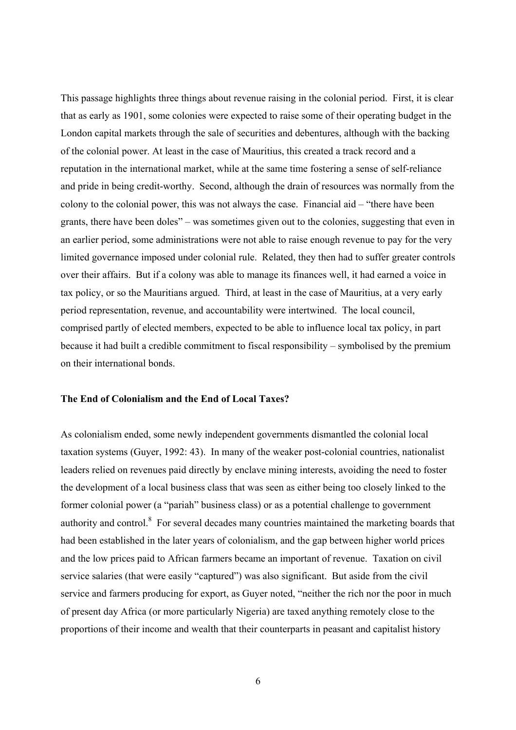This passage highlights three things about revenue raising in the colonial period. First, it is clear that as early as 1901, some colonies were expected to raise some of their operating budget in the London capital markets through the sale of securities and debentures, although with the backing of the colonial power. At least in the case of Mauritius, this created a track record and a reputation in the international market, while at the same time fostering a sense of self-reliance and pride in being credit-worthy. Second, although the drain of resources was normally from the colony to the colonial power, this was not always the case. Financial aid – "there have been grants, there have been doles" – was sometimes given out to the colonies, suggesting that even in an earlier period, some administrations were not able to raise enough revenue to pay for the very limited governance imposed under colonial rule. Related, they then had to suffer greater controls over their affairs. But if a colony was able to manage its finances well, it had earned a voice in tax policy, or so the Mauritians argued. Third, at least in the case of Mauritius, at a very early period representation, revenue, and accountability were intertwined. The local council, comprised partly of elected members, expected to be able to influence local tax policy, in part because it had built a credible commitment to fiscal responsibility – symbolised by the premium on their international bonds.

#### **The End of Colonialism and the End of Local Taxes?**

As colonialism ended, some newly independent governments dismantled the colonial local taxation systems (Guyer, 1992: 43). In many of the weaker post-colonial countries, nationalist leaders relied on revenues paid directly by enclave mining interests, avoiding the need to foster the development of a local business class that was seen as either being too closely linked to the former colonial power (a "pariah" business class) or as a potential challenge to government authority and control.<sup>8</sup> For several decades many countries maintained the marketing boards that had been established in the later years of colonialism, and the gap between higher world prices and the low prices paid to African farmers became an important of revenue. Taxation on civil service salaries (that were easily "captured") was also significant. But aside from the civil service and farmers producing for export, as Guyer noted, "neither the rich nor the poor in much of present day Africa (or more particularly Nigeria) are taxed anything remotely close to the proportions of their income and wealth that their counterparts in peasant and capitalist history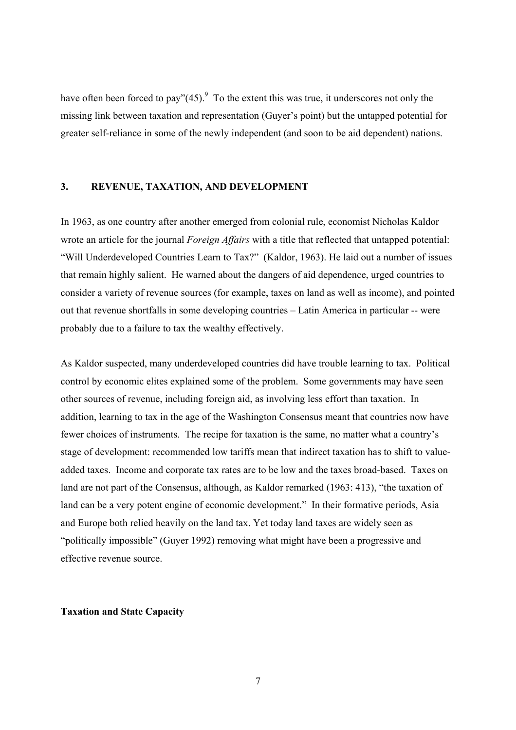have often been forced to pay" $(45)$ . To the extent this was true, it underscores not only the missing link between taxation and representation (Guyer's point) but the untapped potential for greater self-reliance in some of the newly independent (and soon to be aid dependent) nations.

## **3. REVENUE, TAXATION, AND DEVELOPMENT**

In 1963, as one country after another emerged from colonial rule, economist Nicholas Kaldor wrote an article for the journal *Foreign Affairs* with a title that reflected that untapped potential: "Will Underdeveloped Countries Learn to Tax?" (Kaldor, 1963). He laid out a number of issues that remain highly salient. He warned about the dangers of aid dependence, urged countries to consider a variety of revenue sources (for example, taxes on land as well as income), and pointed out that revenue shortfalls in some developing countries – Latin America in particular -- were probably due to a failure to tax the wealthy effectively.

As Kaldor suspected, many underdeveloped countries did have trouble learning to tax. Political control by economic elites explained some of the problem. Some governments may have seen other sources of revenue, including foreign aid, as involving less effort than taxation. In addition, learning to tax in the age of the Washington Consensus meant that countries now have fewer choices of instruments. The recipe for taxation is the same, no matter what a country's stage of development: recommended low tariffs mean that indirect taxation has to shift to valueadded taxes. Income and corporate tax rates are to be low and the taxes broad-based. Taxes on land are not part of the Consensus, although, as Kaldor remarked (1963: 413), "the taxation of land can be a very potent engine of economic development." In their formative periods, Asia and Europe both relied heavily on the land tax. Yet today land taxes are widely seen as "politically impossible" (Guyer 1992) removing what might have been a progressive and effective revenue source.

## **Taxation and State Capacity**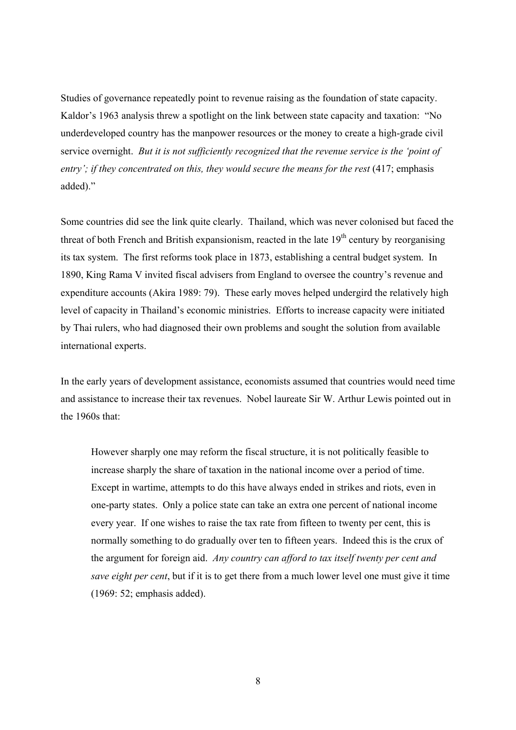Studies of governance repeatedly point to revenue raising as the foundation of state capacity. Kaldor's 1963 analysis threw a spotlight on the link between state capacity and taxation: "No underdeveloped country has the manpower resources or the money to create a high-grade civil service overnight. *But it is not sufficiently recognized that the revenue service is the 'point of entry'; if they concentrated on this, they would secure the means for the rest* (417; emphasis added)."

Some countries did see the link quite clearly. Thailand, which was never colonised but faced the threat of both French and British expansionism, reacted in the late  $19<sup>th</sup>$  century by reorganising its tax system. The first reforms took place in 1873, establishing a central budget system. In 1890, King Rama V invited fiscal advisers from England to oversee the country's revenue and expenditure accounts (Akira 1989: 79). These early moves helped undergird the relatively high level of capacity in Thailand's economic ministries. Efforts to increase capacity were initiated by Thai rulers, who had diagnosed their own problems and sought the solution from available international experts.

In the early years of development assistance, economists assumed that countries would need time and assistance to increase their tax revenues. Nobel laureate Sir W. Arthur Lewis pointed out in the 1960s that:

However sharply one may reform the fiscal structure, it is not politically feasible to increase sharply the share of taxation in the national income over a period of time. Except in wartime, attempts to do this have always ended in strikes and riots, even in one-party states. Only a police state can take an extra one percent of national income every year. If one wishes to raise the tax rate from fifteen to twenty per cent, this is normally something to do gradually over ten to fifteen years. Indeed this is the crux of the argument for foreign aid. *Any country can afford to tax itself twenty per cent and save eight per cent*, but if it is to get there from a much lower level one must give it time (1969: 52; emphasis added).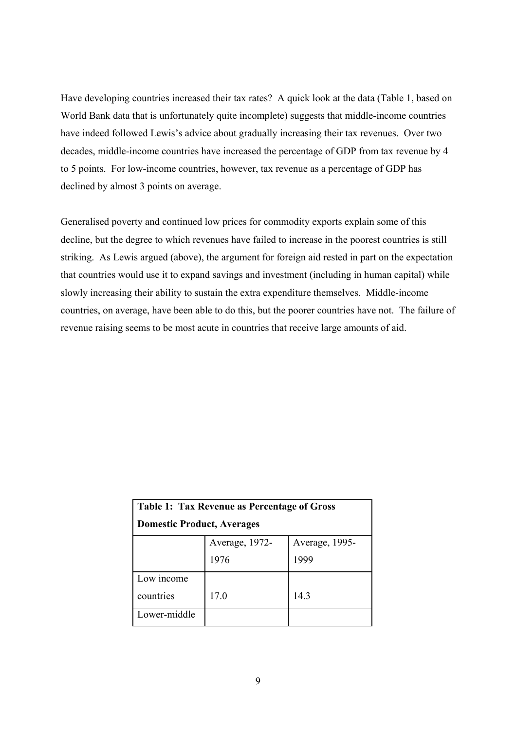Have developing countries increased their tax rates? A quick look at the data (Table 1, based on World Bank data that is unfortunately quite incomplete) suggests that middle-income countries have indeed followed Lewis's advice about gradually increasing their tax revenues. Over two decades, middle-income countries have increased the percentage of GDP from tax revenue by 4 to 5 points. For low-income countries, however, tax revenue as a percentage of GDP has declined by almost 3 points on average.

Generalised poverty and continued low prices for commodity exports explain some of this decline, but the degree to which revenues have failed to increase in the poorest countries is still striking. As Lewis argued (above), the argument for foreign aid rested in part on the expectation that countries would use it to expand savings and investment (including in human capital) while slowly increasing their ability to sustain the extra expenditure themselves. Middle-income countries, on average, have been able to do this, but the poorer countries have not. The failure of revenue raising seems to be most acute in countries that receive large amounts of aid.

| <b>Table 1: Tax Revenue as Percentage of Gross</b> |                |                |  |
|----------------------------------------------------|----------------|----------------|--|
| <b>Domestic Product, Averages</b>                  |                |                |  |
|                                                    | Average, 1972- | Average, 1995- |  |
|                                                    | 1976           | 1999           |  |
| Low income                                         |                |                |  |
| countries                                          | 17.0           | 14.3           |  |
| Lower-middle                                       |                |                |  |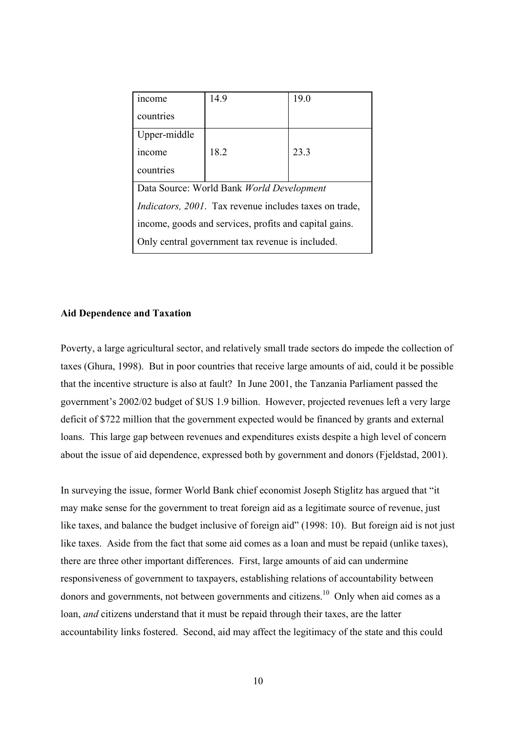| <i>n</i> come                                                 | 14.9 | 19.0 |  |
|---------------------------------------------------------------|------|------|--|
| countries                                                     |      |      |  |
| Upper-middle                                                  |      |      |  |
| income                                                        | 18.2 | 23.3 |  |
| countries                                                     |      |      |  |
| Data Source: World Bank World Development                     |      |      |  |
| <i>Indicators, 2001.</i> Tax revenue includes taxes on trade, |      |      |  |
| income, goods and services, profits and capital gains.        |      |      |  |
| Only central government tax revenue is included.              |      |      |  |

#### **Aid Dependence and Taxation**

Poverty, a large agricultural sector, and relatively small trade sectors do impede the collection of taxes (Ghura, 1998). But in poor countries that receive large amounts of aid, could it be possible that the incentive structure is also at fault? In June 2001, the Tanzania Parliament passed the government's 2002/02 budget of \$US 1.9 billion. However, projected revenues left a very large deficit of \$722 million that the government expected would be financed by grants and external loans. This large gap between revenues and expenditures exists despite a high level of concern about the issue of aid dependence, expressed both by government and donors (Fjeldstad, 2001).

In surveying the issue, former World Bank chief economist Joseph Stiglitz has argued that "it may make sense for the government to treat foreign aid as a legitimate source of revenue, just like taxes, and balance the budget inclusive of foreign aid" (1998: 10). But foreign aid is not just like taxes. Aside from the fact that some aid comes as a loan and must be repaid (unlike taxes), there are three other important differences. First, large amounts of aid can undermine responsiveness of government to taxpayers, establishing relations of accountability between donors and governments, not between governments and citizens.<sup>10</sup> Only when aid comes as a loan, *and* citizens understand that it must be repaid through their taxes, are the latter accountability links fostered. Second, aid may affect the legitimacy of the state and this could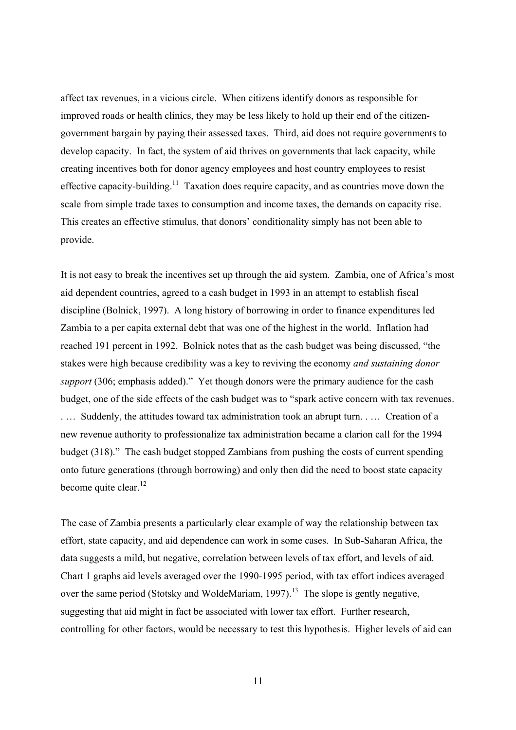affect tax revenues, in a vicious circle. When citizens identify donors as responsible for improved roads or health clinics, they may be less likely to hold up their end of the citizengovernment bargain by paying their assessed taxes. Third, aid does not require governments to develop capacity. In fact, the system of aid thrives on governments that lack capacity, while creating incentives both for donor agency employees and host country employees to resist effective capacity-building.<sup>11</sup> Taxation does require capacity, and as countries move down the scale from simple trade taxes to consumption and income taxes, the demands on capacity rise. This creates an effective stimulus, that donors' conditionality simply has not been able to provide.

It is not easy to break the incentives set up through the aid system. Zambia, one of Africa's most aid dependent countries, agreed to a cash budget in 1993 in an attempt to establish fiscal discipline (Bolnick, 1997). A long history of borrowing in order to finance expenditures led Zambia to a per capita external debt that was one of the highest in the world. Inflation had reached 191 percent in 1992. Bolnick notes that as the cash budget was being discussed, "the stakes were high because credibility was a key to reviving the economy *and sustaining donor support* (306; emphasis added)." Yet though donors were the primary audience for the cash budget, one of the side effects of the cash budget was to "spark active concern with tax revenues. . … Suddenly, the attitudes toward tax administration took an abrupt turn. . … Creation of a new revenue authority to professionalize tax administration became a clarion call for the 1994 budget (318)." The cash budget stopped Zambians from pushing the costs of current spending onto future generations (through borrowing) and only then did the need to boost state capacity become quite clear.<sup>12</sup>

The case of Zambia presents a particularly clear example of way the relationship between tax effort, state capacity, and aid dependence can work in some cases. In Sub-Saharan Africa, the data suggests a mild, but negative, correlation between levels of tax effort, and levels of aid. Chart 1 graphs aid levels averaged over the 1990-1995 period, with tax effort indices averaged over the same period (Stotsky and WoldeMariam, 1997).<sup>13</sup> The slope is gently negative, suggesting that aid might in fact be associated with lower tax effort. Further research, controlling for other factors, would be necessary to test this hypothesis. Higher levels of aid can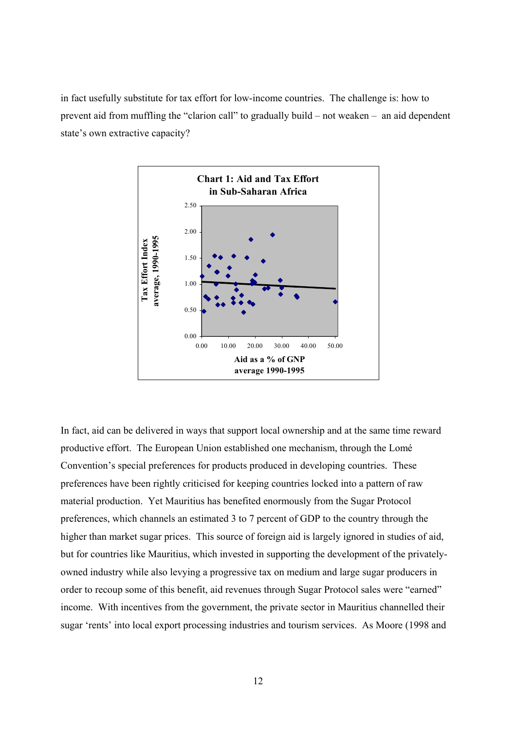in fact usefully substitute for tax effort for low-income countries. The challenge is: how to prevent aid from muffling the "clarion call" to gradually build – not weaken – an aid dependent state's own extractive capacity?



In fact, aid can be delivered in ways that support local ownership and at the same time reward productive effort. The European Union established one mechanism, through the Lomé Convention's special preferences for products produced in developing countries. These preferences have been rightly criticised for keeping countries locked into a pattern of raw material production. Yet Mauritius has benefited enormously from the Sugar Protocol preferences, which channels an estimated 3 to 7 percent of GDP to the country through the higher than market sugar prices. This source of foreign aid is largely ignored in studies of aid, but for countries like Mauritius, which invested in supporting the development of the privatelyowned industry while also levying a progressive tax on medium and large sugar producers in order to recoup some of this benefit, aid revenues through Sugar Protocol sales were "earned" income. With incentives from the government, the private sector in Mauritius channelled their sugar 'rents' into local export processing industries and tourism services. As Moore (1998 and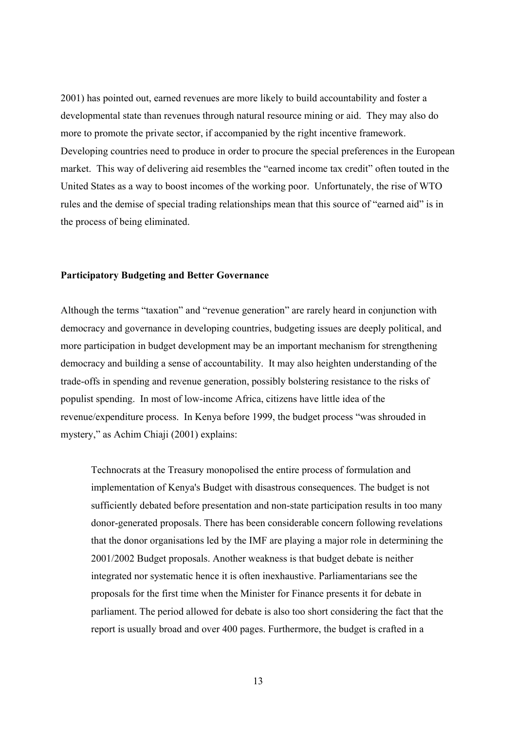2001) has pointed out, earned revenues are more likely to build accountability and foster a developmental state than revenues through natural resource mining or aid. They may also do more to promote the private sector, if accompanied by the right incentive framework. Developing countries need to produce in order to procure the special preferences in the European market. This way of delivering aid resembles the "earned income tax credit" often touted in the United States as a way to boost incomes of the working poor. Unfortunately, the rise of WTO rules and the demise of special trading relationships mean that this source of "earned aid" is in the process of being eliminated.

### **Participatory Budgeting and Better Governance**

Although the terms "taxation" and "revenue generation" are rarely heard in conjunction with democracy and governance in developing countries, budgeting issues are deeply political, and more participation in budget development may be an important mechanism for strengthening democracy and building a sense of accountability. It may also heighten understanding of the trade-offs in spending and revenue generation, possibly bolstering resistance to the risks of populist spending. In most of low-income Africa, citizens have little idea of the revenue/expenditure process. In Kenya before 1999, the budget process "was shrouded in mystery," as Achim Chiaji (2001) explains:

Technocrats at the Treasury monopolised the entire process of formulation and implementation of Kenya's Budget with disastrous consequences. The budget is not sufficiently debated before presentation and non-state participation results in too many donor-generated proposals. There has been considerable concern following revelations that the donor organisations led by the IMF are playing a major role in determining the 2001/2002 Budget proposals. Another weakness is that budget debate is neither integrated nor systematic hence it is often inexhaustive. Parliamentarians see the proposals for the first time when the Minister for Finance presents it for debate in parliament. The period allowed for debate is also too short considering the fact that the report is usually broad and over 400 pages. Furthermore, the budget is crafted in a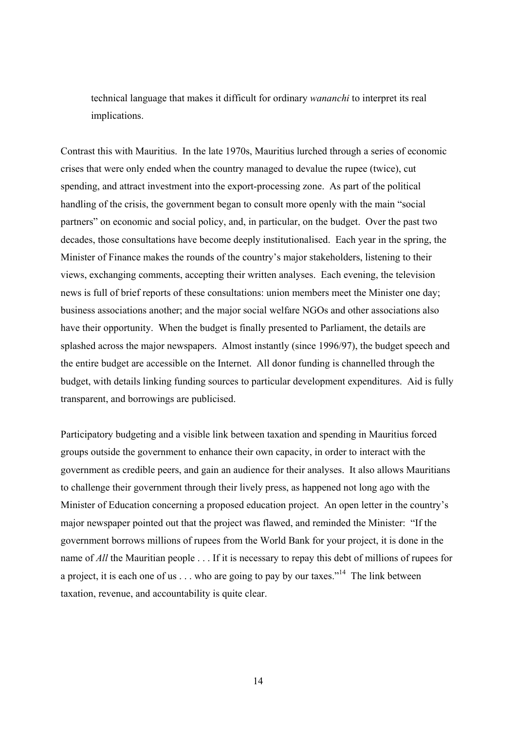technical language that makes it difficult for ordinary *wananchi* to interpret its real implications.

Contrast this with Mauritius. In the late 1970s, Mauritius lurched through a series of economic crises that were only ended when the country managed to devalue the rupee (twice), cut spending, and attract investment into the export-processing zone. As part of the political handling of the crisis, the government began to consult more openly with the main "social partners" on economic and social policy, and, in particular, on the budget. Over the past two decades, those consultations have become deeply institutionalised. Each year in the spring, the Minister of Finance makes the rounds of the country's major stakeholders, listening to their views, exchanging comments, accepting their written analyses. Each evening, the television news is full of brief reports of these consultations: union members meet the Minister one day; business associations another; and the major social welfare NGOs and other associations also have their opportunity. When the budget is finally presented to Parliament, the details are splashed across the major newspapers. Almost instantly (since 1996/97), the budget speech and the entire budget are accessible on the Internet. All donor funding is channelled through the budget, with details linking funding sources to particular development expenditures. Aid is fully transparent, and borrowings are publicised.

Participatory budgeting and a visible link between taxation and spending in Mauritius forced groups outside the government to enhance their own capacity, in order to interact with the government as credible peers, and gain an audience for their analyses. It also allows Mauritians to challenge their government through their lively press, as happened not long ago with the Minister of Education concerning a proposed education project. An open letter in the country's major newspaper pointed out that the project was flawed, and reminded the Minister: "If the government borrows millions of rupees from the World Bank for your project, it is done in the name of *All* the Mauritian people . . . If it is necessary to repay this debt of millions of rupees for a project, it is each one of us  $\dots$  who are going to pay by our taxes.<sup> $14$ </sup> The link between taxation, revenue, and accountability is quite clear.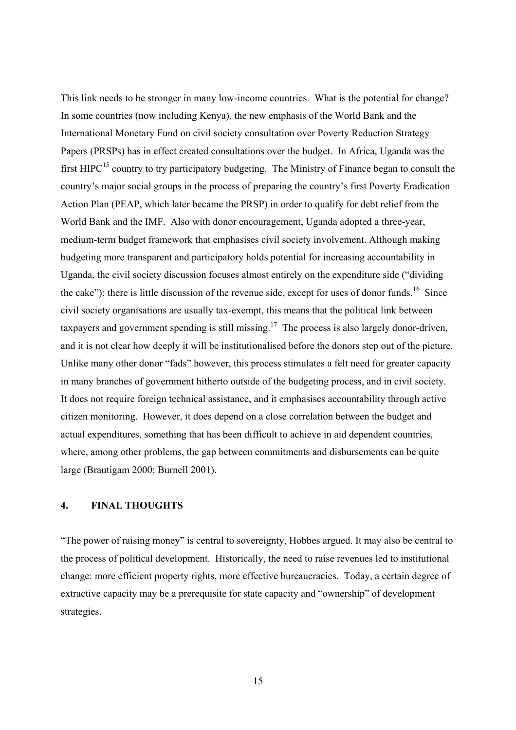This link needs to be stronger in many low-income countries. What is the potential for change? In some countries (now including Kenya), the new emphasis of the World Bank and the International Monetary Fund on civil society consultation over Poverty Reduction Strategy Papers (PRSPs) has in effect created consultations over the budget. In Africa, Uganda was the first  $HIPC<sup>15</sup>$  country to try participatory budgeting. The Ministry of Finance began to consult the country's major social groups in the process of preparing the country's first Poverty Eradication Action Plan (PEAP, which later became the PRSP) in order to qualify for debt relief from the World Bank and the IMF. Also with donor encouragement, Uganda adopted a three-year, medium-term budget framework that emphasises civil society involvement. Although making budgeting more transparent and participatory holds potential for increasing accountability in Uganda, the civil society discussion focuses almost entirely on the expenditure side ("dividing the cake"); there is little discussion of the revenue side, except for uses of donor funds.<sup>16</sup> Since civil society organisations are usually tax-exempt, this means that the political link between taxpayers and government spending is still missing.<sup>17</sup> The process is also largely donor-driven, and it is not clear how deeply it will be institutionalised before the donors step out of the picture. Unlike many other donor "fads" however, this process stimulates a felt need for greater capacity in many branches of government hitherto outside of the budgeting process, and in civil society. It does not require foreign technical assistance, and it emphasises accountability through active citizen monitoring. However, it does depend on a close correlation between the budget and actual expenditures, something that has been difficult to achieve in aid dependent countries, where, among other problems, the gap between commitments and disbursements can be quite large (Brautigam 2000; Burnell 2001).

# **4. FINAL THOUGHTS**

"The power of raising money" is central to sovereignty, Hobbes argued. It may also be central to the process of political development. Historically, the need to raise revenues led to institutional change: more efficient property rights, more effective bureaucracies. Today, a certain degree of extractive capacity may be a prerequisite for state capacity and "ownership" of development strategies.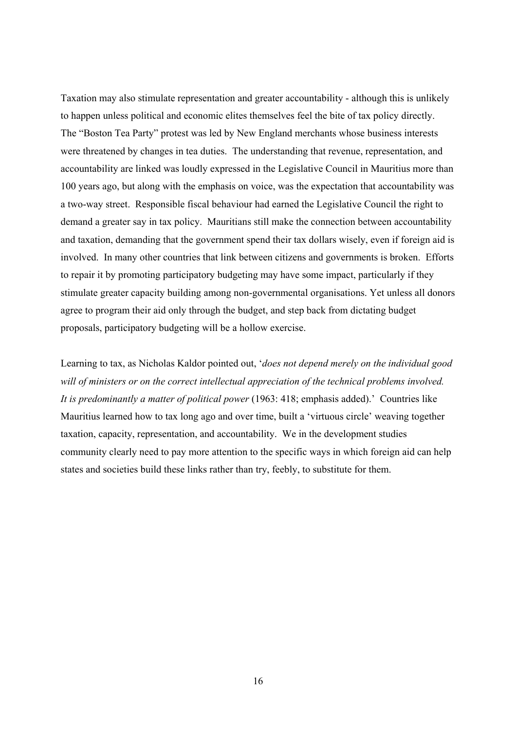Taxation may also stimulate representation and greater accountability - although this is unlikely to happen unless political and economic elites themselves feel the bite of tax policy directly. The "Boston Tea Party" protest was led by New England merchants whose business interests were threatened by changes in tea duties. The understanding that revenue, representation, and accountability are linked was loudly expressed in the Legislative Council in Mauritius more than 100 years ago, but along with the emphasis on voice, was the expectation that accountability was a two-way street. Responsible fiscal behaviour had earned the Legislative Council the right to demand a greater say in tax policy. Mauritians still make the connection between accountability and taxation, demanding that the government spend their tax dollars wisely, even if foreign aid is involved. In many other countries that link between citizens and governments is broken. Efforts to repair it by promoting participatory budgeting may have some impact, particularly if they stimulate greater capacity building among non-governmental organisations. Yet unless all donors agree to program their aid only through the budget, and step back from dictating budget proposals, participatory budgeting will be a hollow exercise.

Learning to tax, as Nicholas Kaldor pointed out, '*does not depend merely on the individual good will of ministers or on the correct intellectual appreciation of the technical problems involved. It is predominantly a matter of political power* (1963: 418; emphasis added).' Countries like Mauritius learned how to tax long ago and over time, built a 'virtuous circle' weaving together taxation, capacity, representation, and accountability. We in the development studies community clearly need to pay more attention to the specific ways in which foreign aid can help states and societies build these links rather than try, feebly, to substitute for them.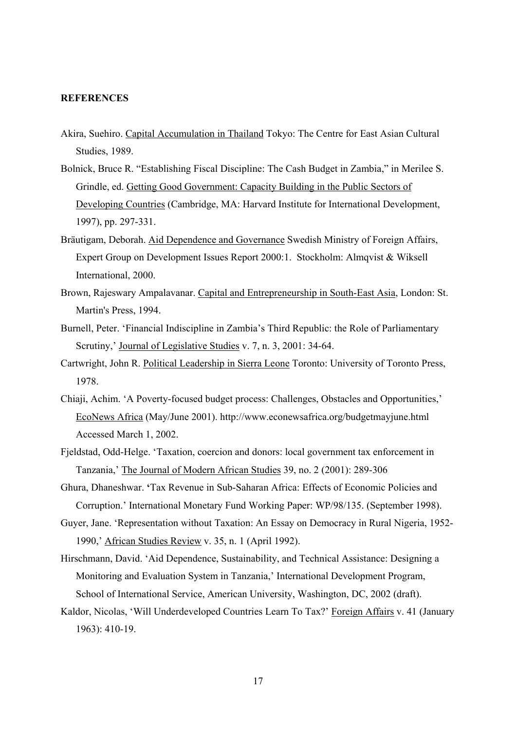### **REFERENCES**

- Akira, Suehiro. Capital Accumulation in Thailand Tokyo: The Centre for East Asian Cultural Studies, 1989.
- Bolnick, Bruce R. "Establishing Fiscal Discipline: The Cash Budget in Zambia," in Merilee S. Grindle, ed. Getting Good Government: Capacity Building in the Public Sectors of Developing Countries (Cambridge, MA: Harvard Institute for International Development, 1997), pp. 297-331.
- Bräutigam, Deborah. Aid Dependence and Governance Swedish Ministry of Foreign Affairs, Expert Group on Development Issues Report 2000:1. Stockholm: Almqvist & Wiksell International, 2000.
- Brown, Rajeswary Ampalavanar. Capital and Entrepreneurship in South-East Asia, London: St. Martin's Press, 1994.
- Burnell, Peter. 'Financial Indiscipline in Zambia's Third Republic: the Role of Parliamentary Scrutiny,' Journal of Legislative Studies v. 7, n. 3, 2001: 34-64.
- Cartwright, John R. Political Leadership in Sierra Leone Toronto: University of Toronto Press, 1978.
- Chiaji, Achim. 'A Poverty-focused budget process: Challenges, Obstacles and Opportunities,' EcoNews Africa (May/June 2001). http://www.econewsafrica.org/budgetmayjune.html Accessed March 1, 2002.
- Fjeldstad, Odd-Helge. 'Taxation, coercion and donors: local government tax enforcement in Tanzania,' The Journal of Modern African Studies 39, no. 2 (2001): 289-306
- Ghura, Dhaneshwar. **'**Tax Revenue in Sub-Saharan Africa: Effects of Economic Policies and Corruption.' International Monetary Fund Working Paper: WP/98/135. (September 1998).
- Guyer, Jane. 'Representation without Taxation: An Essay on Democracy in Rural Nigeria, 1952- 1990,' African Studies Review v. 35, n. 1 (April 1992).
- Hirschmann, David. 'Aid Dependence, Sustainability, and Technical Assistance: Designing a Monitoring and Evaluation System in Tanzania,' International Development Program, School of International Service, American University, Washington, DC, 2002 (draft).
- Kaldor, Nicolas, 'Will Underdeveloped Countries Learn To Tax?' Foreign Affairs v. 41 (January 1963): 410-19.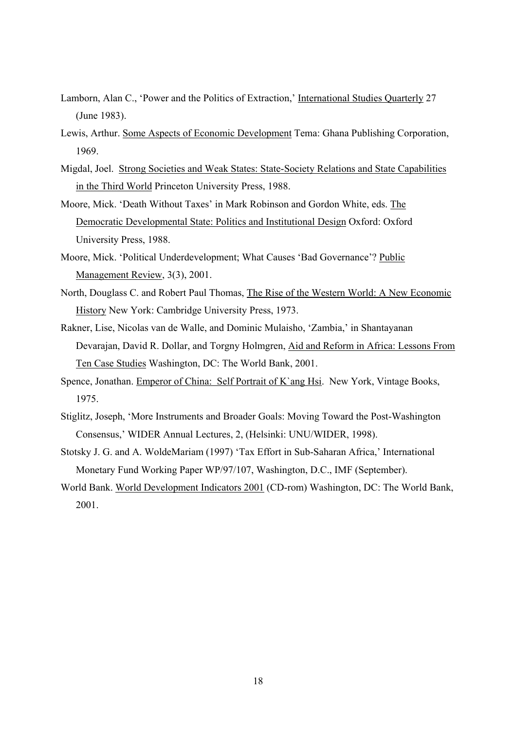- Lamborn, Alan C., 'Power and the Politics of Extraction,' International Studies Quarterly 27 (June 1983).
- Lewis, Arthur. Some Aspects of Economic Development Tema: Ghana Publishing Corporation, 1969.
- Migdal, Joel. Strong Societies and Weak States: State-Society Relations and State Capabilities in the Third World Princeton University Press, 1988.
- Moore, Mick. 'Death Without Taxes' in Mark Robinson and Gordon White, eds. The Democratic Developmental State: Politics and Institutional Design Oxford: Oxford University Press, 1988.
- Moore, Mick. 'Political Underdevelopment; What Causes 'Bad Governance'? Public Management Review, 3(3), 2001.
- North, Douglass C. and Robert Paul Thomas, The Rise of the Western World: A New Economic History New York: Cambridge University Press, 1973.
- Rakner, Lise, Nicolas van de Walle, and Dominic Mulaisho, 'Zambia,' in Shantayanan Devarajan, David R. Dollar, and Torgny Holmgren, Aid and Reform in Africa: Lessons From Ten Case Studies Washington, DC: The World Bank, 2001.
- Spence, Jonathan. Emperor of China: Self Portrait of K`ang Hsi. New York, Vintage Books, 1975.
- Stiglitz, Joseph, 'More Instruments and Broader Goals: Moving Toward the Post-Washington Consensus,' WIDER Annual Lectures, 2, (Helsinki: UNU/WIDER, 1998).
- Stotsky J. G. and A. WoldeMariam (1997) 'Tax Effort in Sub-Saharan Africa,' International Monetary Fund Working Paper WP/97/107, Washington, D.C., IMF (September).
- World Bank. World Development Indicators 2001 (CD-rom) Washington, DC: The World Bank, 2001.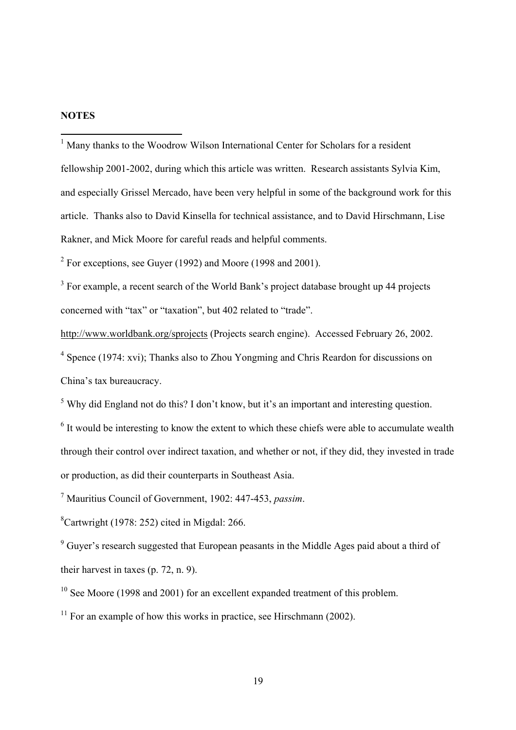#### **NOTES**

<sup>1</sup> Many thanks to the Woodrow Wilson International Center for Scholars for a resident fellowship 2001-2002, during which this article was written. Research assistants Sylvia Kim, and especially Grissel Mercado, have been very helpful in some of the background work for this article. Thanks also to David Kinsella for technical assistance, and to David Hirschmann, Lise Rakner, and Mick Moore for careful reads and helpful comments.

 $2^2$  For exceptions, see Guyer (1992) and Moore (1998 and 2001).

<sup>3</sup> For example, a recent search of the World Bank's project database brought up 44 projects concerned with "tax" or "taxation", but 402 related to "trade".

http://www.worldbank.org/sprojects (Projects search engine). Accessed February 26, 2002.

<sup>4</sup> Spence (1974: xvi); Thanks also to Zhou Yongming and Chris Reardon for discussions on China's tax bureaucracy.

 $<sup>5</sup>$  Why did England not do this? I don't know, but it's an important and interesting question.</sup>

<sup>6</sup> It would be interesting to know the extent to which these chiefs were able to accumulate wealth through their control over indirect taxation, and whether or not, if they did, they invested in trade or production, as did their counterparts in Southeast Asia.

7 Mauritius Council of Government, 1902: 447-453, *passim*.

 ${}^{8}$ Cartwright (1978: 252) cited in Migdal: 266.

 $9^9$  Guyer's research suggested that European peasants in the Middle Ages paid about a third of their harvest in taxes (p. 72, n. 9).

 $10$  See Moore (1998 and 2001) for an excellent expanded treatment of this problem.

<sup>11</sup> For an example of how this works in practice, see Hirschmann (2002).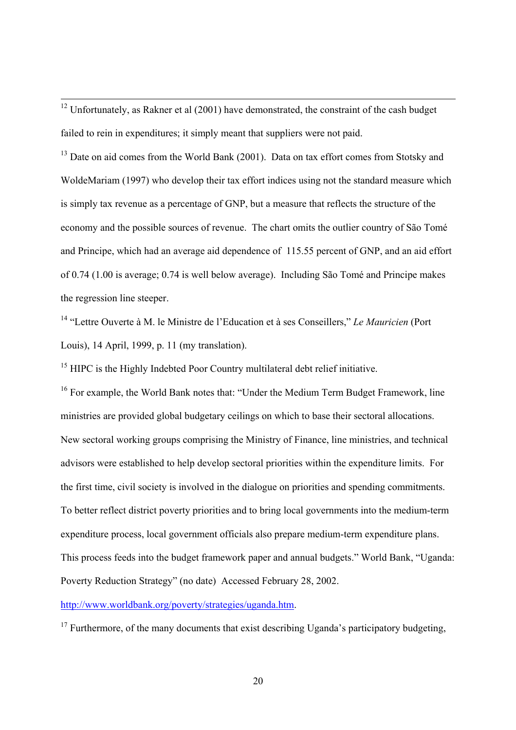$12$  Unfortunately, as Rakner et al (2001) have demonstrated, the constraint of the cash budget failed to rein in expenditures; it simply meant that suppliers were not paid.

 $13$  Date on aid comes from the World Bank (2001). Data on tax effort comes from Stotsky and WoldeMariam (1997) who develop their tax effort indices using not the standard measure which is simply tax revenue as a percentage of GNP, but a measure that reflects the structure of the economy and the possible sources of revenue. The chart omits the outlier country of São Tomé and Principe, which had an average aid dependence of 115.55 percent of GNP, and an aid effort of 0.74 (1.00 is average; 0.74 is well below average). Including São Tomé and Principe makes the regression line steeper.

14 "Lettre Ouverte à M. le Ministre de l'Education et à ses Conseillers," *Le Mauricien* (Port Louis), 14 April, 1999, p. 11 (my translation).

<sup>15</sup> HIPC is the Highly Indebted Poor Country multilateral debt relief initiative.

<sup>16</sup> For example, the World Bank notes that: "Under the Medium Term Budget Framework, line ministries are provided global budgetary ceilings on which to base their sectoral allocations. New sectoral working groups comprising the Ministry of Finance, line ministries, and technical advisors were established to help develop sectoral priorities within the expenditure limits. For the first time, civil society is involved in the dialogue on priorities and spending commitments. To better reflect district poverty priorities and to bring local governments into the medium-term expenditure process, local government officials also prepare medium-term expenditure plans. This process feeds into the budget framework paper and annual budgets." World Bank, "Uganda: Poverty Reduction Strategy" (no date) Accessed February 28, 2002.

http://www.worldbank.org/poverty/strategies/uganda.htm.

<sup>17</sup> Furthermore, of the many documents that exist describing Uganda's participatory budgeting,